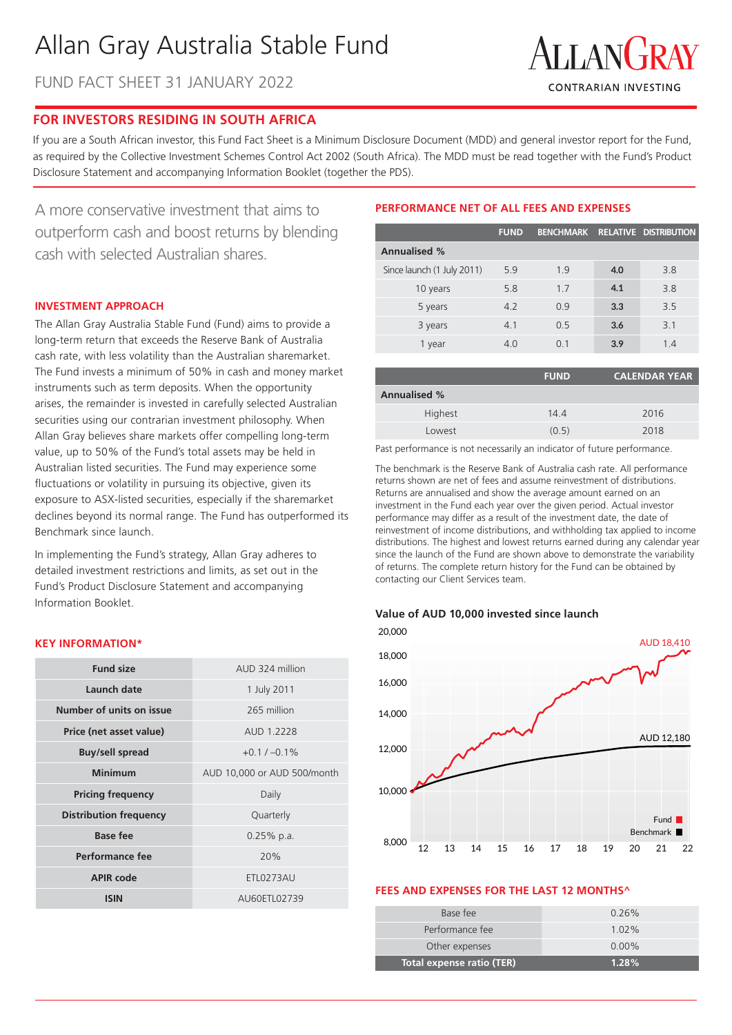# Allan Gray Australia Stable Fund

FUND FACT SHEET 31 JANUARY 2022



# **FOR INVESTORS RESIDING IN SOUTH AFRICA**

If you are a South African investor, this Fund Fact Sheet is a Minimum Disclosure Document (MDD) and general investor report for the Fund, as required by the Collective Investment Schemes Control Act 2002 (South Africa). The MDD must be read together with the Fund's Product Disclosure Statement and accompanying Information Booklet (together the PDS).

A more conservative investment that aims to outperform cash and boost returns by blending cash with selected Australian shares.

# **INVESTMENT APPROACH**

The Allan Gray Australia Stable Fund (Fund) aims to provide a long-term return that exceeds the Reserve Bank of Australia cash rate, with less volatility than the Australian sharemarket. The Fund invests a minimum of 50% in cash and money market instruments such as term deposits. When the opportunity arises, the remainder is invested in carefully selected Australian securities using our contrarian investment philosophy. When Allan Gray believes share markets offer compelling long-term value, up to 50% of the Fund's total assets may be held in Australian listed securities. The Fund may experience some fluctuations or volatility in pursuing its objective, given its exposure to ASX-listed securities, especially if the sharemarket declines beyond its normal range. The Fund has outperformed its Benchmark since launch.

In implementing the Fund's strategy, Allan Gray adheres to detailed investment restrictions and limits, as set out in the Fund's Product Disclosure Statement and accompanying Information Booklet.

## **KEY INFORMATION\***

| <b>Fund size</b>              | AUD 324 million             |  |  |
|-------------------------------|-----------------------------|--|--|
| Launch date                   | 1 July 2011                 |  |  |
| Number of units on issue      | 265 million                 |  |  |
| Price (net asset value)       | AUD 1.2228                  |  |  |
| <b>Buy/sell spread</b>        | $+0.1 / -0.1\%$             |  |  |
| Minimum                       | AUD 10,000 or AUD 500/month |  |  |
| <b>Pricing frequency</b>      | Daily                       |  |  |
| <b>Distribution frequency</b> | Quarterly                   |  |  |
| Base fee                      | $0.25%$ p.a.                |  |  |
| Performance fee               | 20%                         |  |  |
| <b>APIR code</b>              | <b>ETL0273AU</b>            |  |  |
| <b>ISIN</b>                   | AU60ETL02739                |  |  |

# **PERFORMANCE NET OF ALL FEES AND EXPENSES**

|                            | <b>FUND</b> |     |     | BENCHMARK RELATIVE DISTRIBUTION |
|----------------------------|-------------|-----|-----|---------------------------------|
| <b>Annualised %</b>        |             |     |     |                                 |
| Since launch (1 July 2011) | 5.9         | 19  | 4.0 | 3.8                             |
| 10 years                   | 5.8         | 1.7 | 4.1 | 3.8                             |
| 5 years                    | 4.2         | 0.9 | 3.3 | 3.5                             |
| 3 years                    | 4.1         | 0.5 | 3.6 | 3.1                             |
| 1 year                     | 4.0         | O 1 | 3.9 | 1.4                             |

|                     | <b>FUND</b> | <b>CALENDAR YEAR</b> |
|---------------------|-------------|----------------------|
| <b>Annualised %</b> |             |                      |
| Highest             | 14.4        | 2016                 |
| Lowest              | (0.5)       | 2018                 |

Past performance is not necessarily an indicator of future performance.

The benchmark is the Reserve Bank of Australia cash rate. All performance returns shown are net of fees and assume reinvestment of distributions. Returns are annualised and show the average amount earned on an investment in the Fund each year over the given period. Actual investor performance may differ as a result of the investment date, the date of reinvestment of income distributions, and withholding tax applied to income distributions. The highest and lowest returns earned during any calendar year since the launch of the Fund are shown above to demonstrate the variability of returns. The complete return history for the Fund can be obtained by contacting our Client Services team.

#### **Value of AUD 10,000 invested since launch**



#### **FEES AND EXPENSES FOR THE LAST 12 MONTHS^**

| Total expense ratio (TER) | $1.28\%$ |
|---------------------------|----------|
| Other expenses            | $0.00\%$ |
| Performance fee           | $1.02\%$ |
| Base fee                  | $0.26\%$ |
|                           |          |